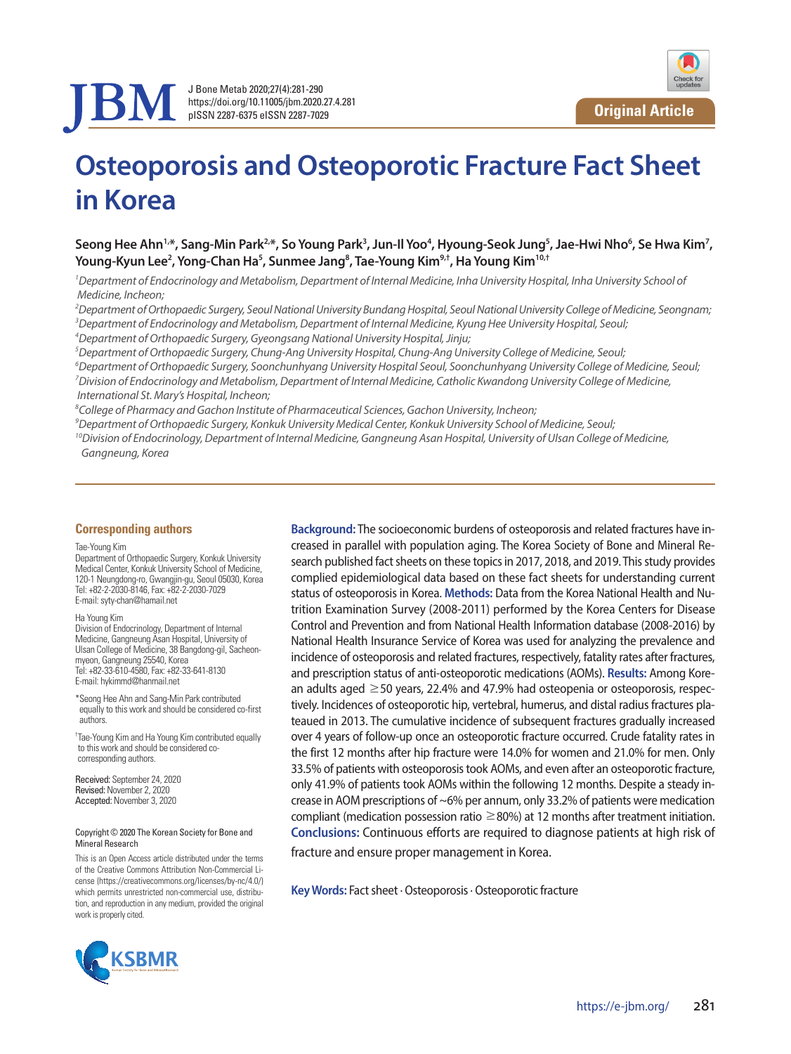

J Bone Metab 2020;27(4):281-290 https://doi.org/10.11005/jbm.2020.27.4.281 pISSN 2287-6375 eISSN 2287-7029



# **Osteoporosis and Osteoporotic Fracture Fact Sheet in Korea**

Seong Hee Ahn<sup>1,</sup>\*, Sang-Min Park<sup>2,</sup>\*, So Young Park<sup>3</sup>, Jun-Il Yoo<sup>4</sup>, Hyoung-Seok Jung<sup>5</sup>, Jae-Hwi Nho<sup>6</sup>, Se Hwa Kim<sup>7</sup>, Young-Kyun Lee<sup>2</sup>, Yong-Chan Ha<sup>5</sup>, Sunmee Jang<sup>8</sup>, Tae-Young Kim<sup>9,†</sup>, Ha Young Kim<sup>10,†</sup>

<sup>1</sup> Department of Endocrinology and Metabolism, Department of Internal Medicine, Inha University Hospital, Inha University School of  *Medicine, Incheon;* 

*2 Department of Orthopaedic Surgery, Seoul National University Bundang Hospital, Seoul National University College of Medicine, Seongnam; 3 Department of Endocrinology and Metabolism, Department of Internal Medicine, Kyung Hee University Hospital, Seoul;* 

*4 Department of Orthopaedic Surgery, Gyeongsang National University Hospital, Jinju;* 

*5 Department of Orthopaedic Surgery, Chung-Ang University Hospital, Chung-Ang University College of Medicine, Seoul;* 

*6 Department of Orthopaedic Surgery, Soonchunhyang University Hospital Seoul, Soonchunhyang University College of Medicine, Seoul;*  <sup>7</sup> Division of Endocrinology and Metabolism, Department of Internal Medicine, Catholic Kwandong University College of Medicine,  *International St. Mary's Hospital, Incheon;* 

*8 College of Pharmacy and Gachon Institute of Pharmaceutical Sciences, Gachon University, Incheon;* 

*9 Department of Orthopaedic Surgery, Konkuk University Medical Center, Konkuk University School of Medicine, Seoul;* 

*10Division of Endocrinology, Department of Internal Medicine, Gangneung Asan Hospital, University of Ulsan College of Medicine, Gangneung, Korea*

#### **Corresponding authors**

#### Tae-Young Kim

Department of Orthopaedic Surgery, Konkuk University Medical Center, Konkuk University School of Medicine, 120-1 Neungdong-ro, Gwangjin-gu, Seoul 05030, Korea Tel: +82-2-2030-8146, Fax: +82-2-2030-7029 E-mail: syty-chan@hamail.net

Ha Young Kim

Division of Endocrinology, Department of Internal Medicine, Gangneung Asan Hospital, University of Ulsan College of Medicine, 38 Bangdong-gil, Sacheonmyeon, Gangneung 25540, Korea Tel: +82-33-610-4580, Fax: +82-33-641-8130 E-mail: hykimmd@hanmail.net

\*Seong Hee Ahn and Sang-Min Park contributed equally to this work and should be considered co-first authors.

† Tae-Young Kim and Ha Young Kim contributed equally to this work and should be considered cocorresponding authors.

Received: September 24, 2020 Revised: November 2, 2020 Accepted: November 3, 2020

#### Copyright © 2020 The Korean Society for Bone and Mineral Research

This is an Open Access article distributed under the terms of the Creative Commons Attribution Non-Commercial License (https://creativecommons.org/licenses/by-nc/4.0/) which permits unrestricted non-commercial use, distribution, and reproduction in any medium, provided the original work is properly cited.

creased in parallel with population aging. The Korea Society of Bone and Mineral Research published fact sheets on these topics in 2017, 2018, and 2019. This study provides complied epidemiological data based on these fact sheets for understanding current status of osteoporosis in Korea. **Methods:** Data from the Korea National Health and Nutrition Examination Survey (2008-2011) performed by the Korea Centers for Disease Control and Prevention and from National Health Information database (2008-2016) by National Health Insurance Service of Korea was used for analyzing the prevalence and incidence of osteoporosis and related fractures, respectively, fatality rates after fractures, and prescription status of anti-osteoporotic medications (AOMs). **Results:** Among Korean adults aged  $\geq$  50 years, 22.4% and 47.9% had osteopenia or osteoporosis, respectively. Incidences of osteoporotic hip, vertebral, humerus, and distal radius fractures plateaued in 2013. The cumulative incidence of subsequent fractures gradually increased over 4 years of follow-up once an osteoporotic fracture occurred. Crude fatality rates in the first 12 months after hip fracture were 14.0% for women and 21.0% for men. Only 33.5% of patients with osteoporosis took AOMs, and even after an osteoporotic fracture, only 41.9% of patients took AOMs within the following 12 months. Despite a steady increase in AOM prescriptions of ~6% per annum, only 33.2% of patients were medication compliant (medication possession ratio  $\geq$  80%) at 12 months after treatment initiation. **Conclusions:** Continuous efforts are required to diagnose patients at high risk of fracture and ensure proper management in Korea.

**Background:** The socioeconomic burdens of osteoporosis and related fractures have in-

**Key Words:** Fact sheet · Osteoporosis · Osteoporotic fracture

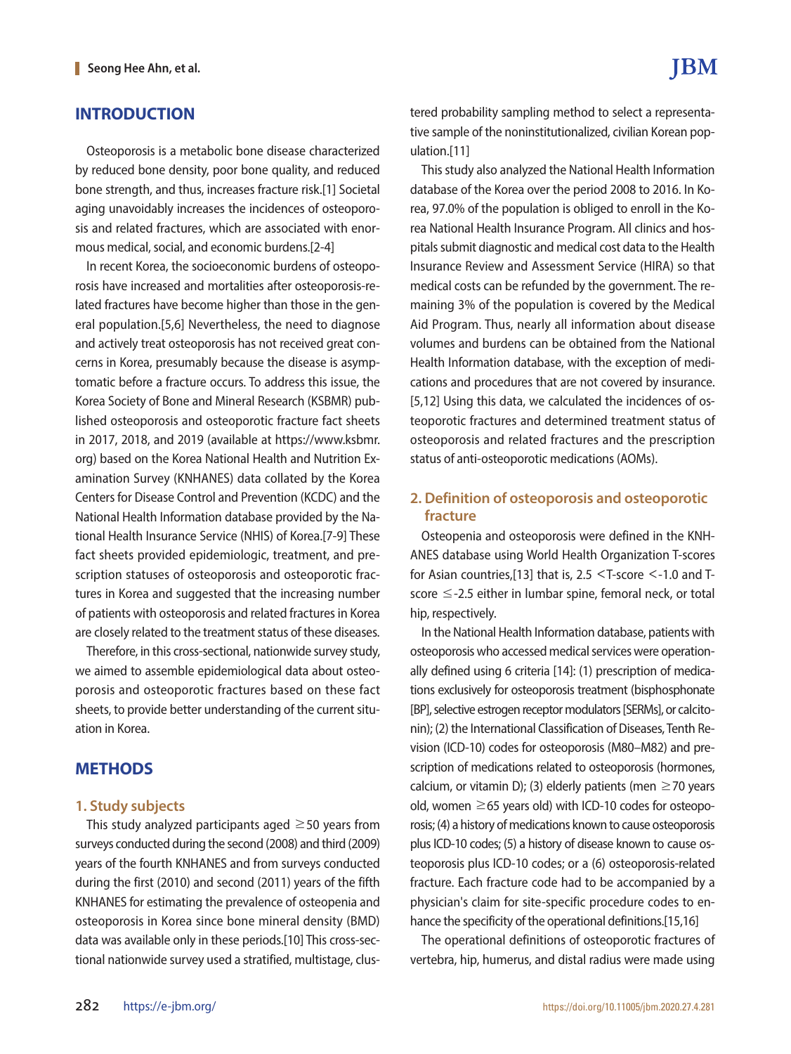## **INTRODUCTION**

Osteoporosis is a metabolic bone disease characterized by reduced bone density, poor bone quality, and reduced bone strength, and thus, increases fracture risk.[1] Societal aging unavoidably increases the incidences of osteoporosis and related fractures, which are associated with enormous medical, social, and economic burdens.[2-4]

In recent Korea, the socioeconomic burdens of osteoporosis have increased and mortalities after osteoporosis-related fractures have become higher than those in the general population.[5,6] Nevertheless, the need to diagnose and actively treat osteoporosis has not received great concerns in Korea, presumably because the disease is asymptomatic before a fracture occurs. To address this issue, the Korea Society of Bone and Mineral Research (KSBMR) published osteoporosis and osteoporotic fracture fact sheets in 2017, 2018, and 2019 (available at https://www.ksbmr. org) based on the Korea National Health and Nutrition Examination Survey (KNHANES) data collated by the Korea Centers for Disease Control and Prevention (KCDC) and the National Health Information database provided by the National Health Insurance Service (NHIS) of Korea.[7-9] These fact sheets provided epidemiologic, treatment, and prescription statuses of osteoporosis and osteoporotic fractures in Korea and suggested that the increasing number of patients with osteoporosis and related fractures in Korea are closely related to the treatment status of these diseases.

Therefore, in this cross-sectional, nationwide survey study, we aimed to assemble epidemiological data about osteoporosis and osteoporotic fractures based on these fact sheets, to provide better understanding of the current situation in Korea.

## **METHODS**

#### **1. Study subjects**

This study analyzed participants aged  $\geq$  50 years from surveys conducted during the second (2008) and third (2009) years of the fourth KNHANES and from surveys conducted during the first (2010) and second (2011) years of the fifth KNHANES for estimating the prevalence of osteopenia and osteoporosis in Korea since bone mineral density (BMD) data was available only in these periods.[10] This cross-sectional nationwide survey used a stratified, multistage, clustered probability sampling method to select a representative sample of the noninstitutionalized, civilian Korean population.[11]

This study also analyzed the National Health Information database of the Korea over the period 2008 to 2016. In Korea, 97.0% of the population is obliged to enroll in the Korea National Health Insurance Program. All clinics and hospitals submit diagnostic and medical cost data to the Health Insurance Review and Assessment Service (HIRA) so that medical costs can be refunded by the government. The remaining 3% of the population is covered by the Medical Aid Program. Thus, nearly all information about disease volumes and burdens can be obtained from the National Health Information database, with the exception of medications and procedures that are not covered by insurance. [5,12] Using this data, we calculated the incidences of osteoporotic fractures and determined treatment status of osteoporosis and related fractures and the prescription status of anti-osteoporotic medications (AOMs).

## **2. Definition of osteoporosis and osteoporotic fracture**

Osteopenia and osteoporosis were defined in the KNH-ANES database using World Health Organization T-scores for Asian countries,[13] that is, 2.5 <T-score <-1.0 and Tscore ≤-2.5 either in lumbar spine, femoral neck, or total hip, respectively.

In the National Health Information database, patients with osteoporosis who accessed medical services were operationally defined using 6 criteria [14]: (1) prescription of medications exclusively for osteoporosis treatment (bisphosphonate [BP], selective estrogen receptor modulators [SERMs], or calcitonin); (2) the International Classification of Diseases, Tenth Revision (ICD-10) codes for osteoporosis (M80–M82) and prescription of medications related to osteoporosis (hormones, calcium, or vitamin D); (3) elderly patients (men  $\geq$  70 years old, women  $\geq$  65 years old) with ICD-10 codes for osteoporosis; (4) a history of medications known to cause osteoporosis plus ICD-10 codes; (5) a history of disease known to cause osteoporosis plus ICD-10 codes; or a (6) osteoporosis-related fracture. Each fracture code had to be accompanied by a physician's claim for site-specific procedure codes to enhance the specificity of the operational definitions.[15,16]

The operational definitions of osteoporotic fractures of vertebra, hip, humerus, and distal radius were made using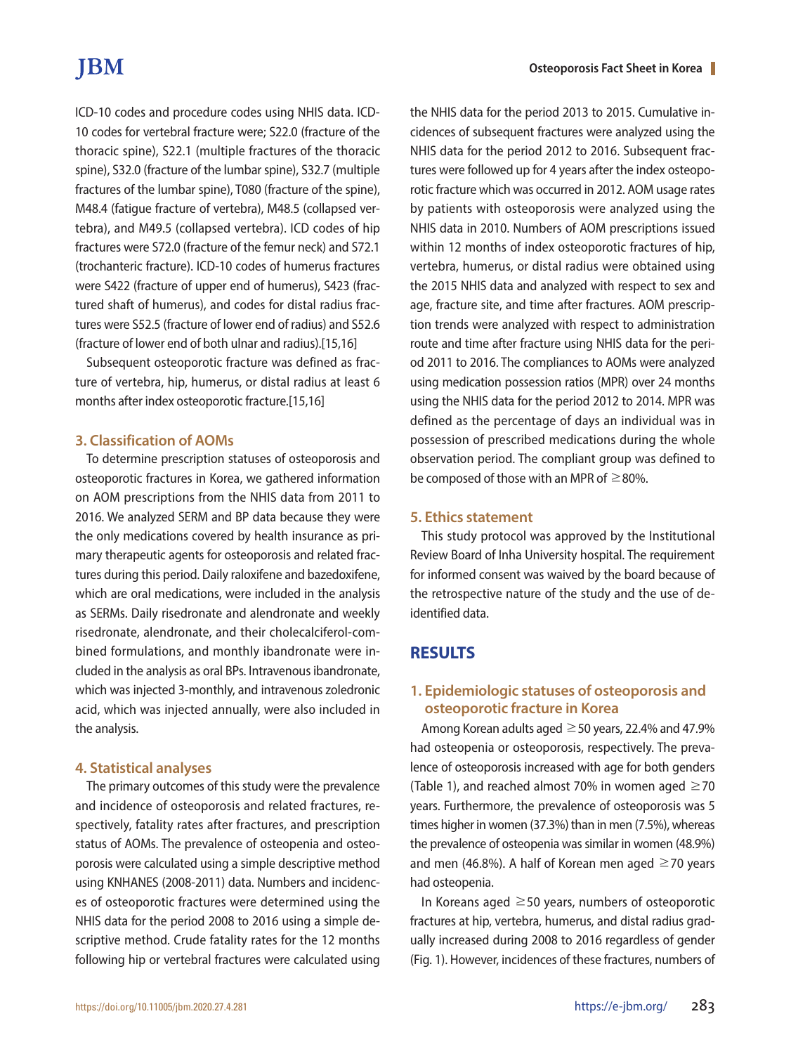# **IBM**

ICD-10 codes and procedure codes using NHIS data. ICD-10 codes for vertebral fracture were; S22.0 (fracture of the thoracic spine), S22.1 (multiple fractures of the thoracic spine), S32.0 (fracture of the lumbar spine), S32.7 (multiple fractures of the lumbar spine), T080 (fracture of the spine), M48.4 (fatigue fracture of vertebra), M48.5 (collapsed vertebra), and M49.5 (collapsed vertebra). ICD codes of hip fractures were S72.0 (fracture of the femur neck) and S72.1 (trochanteric fracture). ICD-10 codes of humerus fractures were S422 (fracture of upper end of humerus), S423 (fractured shaft of humerus), and codes for distal radius fractures were S52.5 (fracture of lower end of radius) and S52.6 (fracture of lower end of both ulnar and radius).[15,16]

Subsequent osteoporotic fracture was defined as fracture of vertebra, hip, humerus, or distal radius at least 6 months after index osteoporotic fracture.[15,16]

#### **3. Classification of AOMs**

To determine prescription statuses of osteoporosis and osteoporotic fractures in Korea, we gathered information on AOM prescriptions from the NHIS data from 2011 to 2016. We analyzed SERM and BP data because they were the only medications covered by health insurance as primary therapeutic agents for osteoporosis and related fractures during this period. Daily raloxifene and bazedoxifene, which are oral medications, were included in the analysis as SERMs. Daily risedronate and alendronate and weekly risedronate, alendronate, and their cholecalciferol-combined formulations, and monthly ibandronate were included in the analysis as oral BPs. Intravenous ibandronate, which was injected 3-monthly, and intravenous zoledronic acid, which was injected annually, were also included in the analysis.

#### **4. Statistical analyses**

The primary outcomes of this study were the prevalence and incidence of osteoporosis and related fractures, respectively, fatality rates after fractures, and prescription status of AOMs. The prevalence of osteopenia and osteoporosis were calculated using a simple descriptive method using KNHANES (2008-2011) data. Numbers and incidences of osteoporotic fractures were determined using the NHIS data for the period 2008 to 2016 using a simple descriptive method. Crude fatality rates for the 12 months following hip or vertebral fractures were calculated using

the NHIS data for the period 2013 to 2015. Cumulative incidences of subsequent fractures were analyzed using the NHIS data for the period 2012 to 2016. Subsequent fractures were followed up for 4 years after the index osteoporotic fracture which was occurred in 2012. AOM usage rates by patients with osteoporosis were analyzed using the NHIS data in 2010. Numbers of AOM prescriptions issued within 12 months of index osteoporotic fractures of hip, vertebra, humerus, or distal radius were obtained using the 2015 NHIS data and analyzed with respect to sex and age, fracture site, and time after fractures. AOM prescription trends were analyzed with respect to administration route and time after fracture using NHIS data for the period 2011 to 2016. The compliances to AOMs were analyzed using medication possession ratios (MPR) over 24 months using the NHIS data for the period 2012 to 2014. MPR was defined as the percentage of days an individual was in possession of prescribed medications during the whole observation period. The compliant group was defined to be composed of those with an MPR of  $\geq$ 80%.

#### **5. Ethics statement**

This study protocol was approved by the Institutional Review Board of Inha University hospital. The requirement for informed consent was waived by the board because of the retrospective nature of the study and the use of deidentified data.

### **RESULTS**

## **1. Epidemiologic statuses of osteoporosis and osteoporotic fracture in Korea**

Among Korean adults aged  $\geq$  50 years, 22.4% and 47.9% had osteopenia or osteoporosis, respectively. The prevalence of osteoporosis increased with age for both genders (Table 1), and reached almost 70% in women aged  $\geq$  70 years. Furthermore, the prevalence of osteoporosis was 5 times higher in women (37.3%) than in men (7.5%), whereas the prevalence of osteopenia was similar in women (48.9%) and men (46.8%). A half of Korean men aged  $\geq$  70 years had osteopenia.

In Koreans aged  $\geq$  50 years, numbers of osteoporotic fractures at hip, vertebra, humerus, and distal radius gradually increased during 2008 to 2016 regardless of gender (Fig. 1). However, incidences of these fractures, numbers of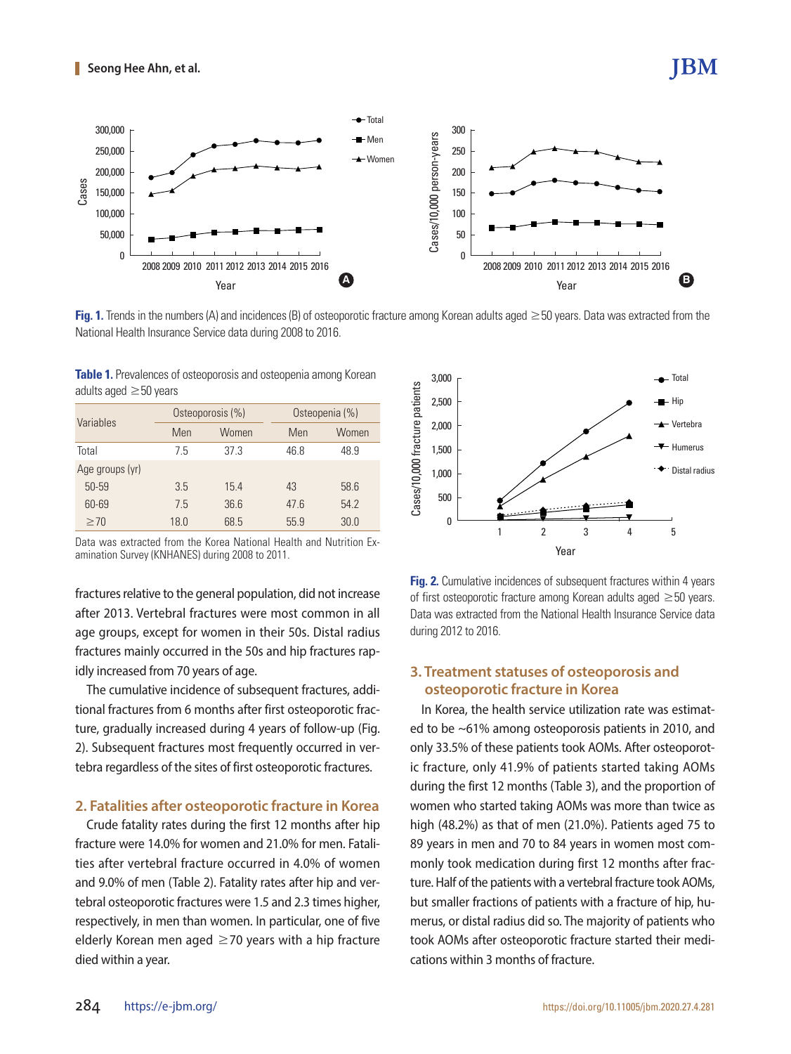

**Fig. 1.** Trends in the numbers (A) and incidences (B) of osteoporotic fracture among Korean adults aged ≥50 years. Data was extracted from the National Health Insurance Service data during 2008 to 2016.

**Table 1.** Prevalences of osteoporosis and osteopenia among Korean adults aged ≥50 years

| Variables       |      | Osteoporosis (%) | Osteopenia (%) |       |  |  |
|-----------------|------|------------------|----------------|-------|--|--|
|                 | Men  | Women            |                | Women |  |  |
| Total           | 7.5  | 37.3             | 46.8           | 48.9  |  |  |
| Age groups (yr) |      |                  |                |       |  |  |
| 50-59           | 3.5  | 15.4             | 43             | 58.6  |  |  |
| 60-69           | 7.5  | 36.6             | 47.6           | 54.2  |  |  |
| $\geq 70$       | 18.0 | 68.5             | 55.9           | 30.0  |  |  |

Data was extracted from the Korea National Health and Nutrition Examination Survey (KNHANES) during 2008 to 2011.

fractures relative to the general population, did not increase after 2013. Vertebral fractures were most common in all age groups, except for women in their 50s. Distal radius fractures mainly occurred in the 50s and hip fractures rapidly increased from 70 years of age.

The cumulative incidence of subsequent fractures, additional fractures from 6 months after first osteoporotic fracture, gradually increased during 4 years of follow-up (Fig. 2). Subsequent fractures most frequently occurred in vertebra regardless of the sites of first osteoporotic fractures.

#### **2. Fatalities after osteoporotic fracture in Korea**

Crude fatality rates during the first 12 months after hip fracture were 14.0% for women and 21.0% for men. Fatalities after vertebral fracture occurred in 4.0% of women and 9.0% of men (Table 2). Fatality rates after hip and vertebral osteoporotic fractures were 1.5 and 2.3 times higher, respectively, in men than women. In particular, one of five elderly Korean men aged  $\geq$  70 years with a hip fracture died within a year.



**IBM** 

**Fig. 2.** Cumulative incidences of subsequent fractures within 4 years of first osteoporotic fracture among Korean adults aged ≥50 years. Data was extracted from the National Health Insurance Service data during 2012 to 2016.

## **3. Treatment statuses of osteoporosis and osteoporotic fracture in Korea**

In Korea, the health service utilization rate was estimated to be ~61% among osteoporosis patients in 2010, and only 33.5% of these patients took AOMs. After osteoporotic fracture, only 41.9% of patients started taking AOMs during the first 12 months (Table 3), and the proportion of women who started taking AOMs was more than twice as high (48.2%) as that of men (21.0%). Patients aged 75 to 89 years in men and 70 to 84 years in women most commonly took medication during first 12 months after fracture. Half of the patients with a vertebral fracture took AOMs, but smaller fractions of patients with a fracture of hip, humerus, or distal radius did so. The majority of patients who took AOMs after osteoporotic fracture started their medications within 3 months of fracture.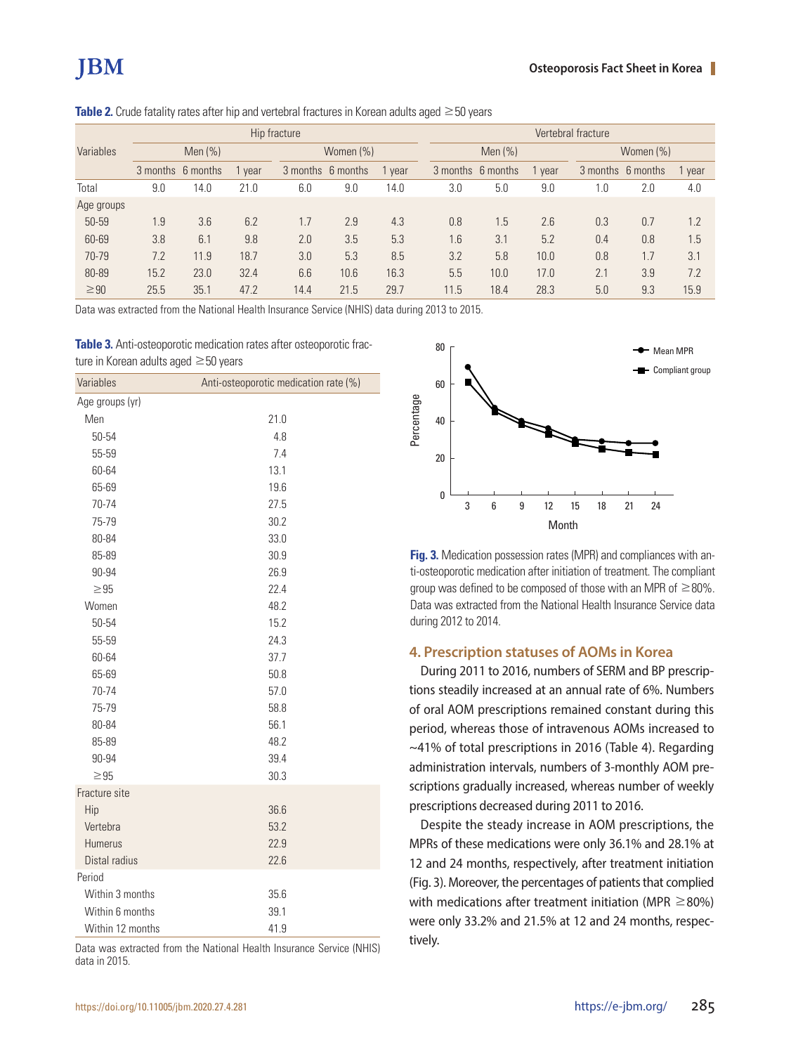|            | Hip fracture      |      |      |                   | Vertebral fracture |      |                   |      |      |                   |     |        |
|------------|-------------------|------|------|-------------------|--------------------|------|-------------------|------|------|-------------------|-----|--------|
| Variables  | Men $(%)$         |      |      | Women (%)         |                    |      | Men $(%)$         |      |      | Women (%)         |     |        |
|            | 3 months 6 months |      | vear | 3 months 6 months |                    | vear | 3 months 6 months |      | vear | 3 months 6 months |     | 1 year |
| Total      | 9.0               | 14.0 | 21.0 | 6.0               | 9.0                | 14.0 | 3.0               | 5.0  | 9.0  | 1.0               | 2.0 | 4.0    |
| Age groups |                   |      |      |                   |                    |      |                   |      |      |                   |     |        |
| 50-59      | 1.9               | 3.6  | 6.2  | 1.7               | 2.9                | 4.3  | 0.8               | 1.5  | 2.6  | 0.3               | 0.7 | 1.2    |
| 60-69      | 3.8               | 6.1  | 9.8  | 2.0               | 3.5                | 5.3  | 1.6               | 3.1  | 5.2  | 0.4               | 0.8 | 1.5    |
| 70-79      | 7.2               | 11.9 | 18.7 | 3.0               | 5.3                | 8.5  | 3.2               | 5.8  | 10.0 | 0.8               | 1.7 | 3.1    |
| 80-89      | 15.2              | 23.0 | 32.4 | 6.6               | 10.6               | 16.3 | 5.5               | 10.0 | 17.0 | 2.1               | 3.9 | 7.2    |
| $\geq 90$  | 25.5              | 35.1 | 47.2 | 14.4              | 21.5               | 29.7 | 11.5              | 18.4 | 28.3 | 5.0               | 9.3 | 15.9   |

**Table 2.** Crude fatality rates after hip and vertebral fractures in Korean adults aged ≥50 years

Data was extracted from the National Health Insurance Service (NHIS) data during 2013 to 2015.

**Table 3.** Anti-osteoporotic medication rates after osteoporotic fracture in Korean adults aged ≥50 years

| Variables        | Anti-osteoporotic medication rate (%) |  |  |  |
|------------------|---------------------------------------|--|--|--|
| Age groups (yr)  |                                       |  |  |  |
| Men              | 21.0                                  |  |  |  |
| 50-54            | 4.8                                   |  |  |  |
| 55-59            | 7.4                                   |  |  |  |
| 60-64            | 13.1                                  |  |  |  |
| 65-69            | 19.6                                  |  |  |  |
| 70-74            | 27.5                                  |  |  |  |
| 75-79            | 30.2                                  |  |  |  |
| 80-84            | 33.0                                  |  |  |  |
| 85-89            | 30.9                                  |  |  |  |
| 90-94            | 26.9                                  |  |  |  |
| $\geq 95$        | 22.4                                  |  |  |  |
| Women            | 48.2                                  |  |  |  |
| 50-54            | 15.2                                  |  |  |  |
| 55-59            | 24.3                                  |  |  |  |
| 60-64            | 37.7                                  |  |  |  |
| 65-69            | 50.8                                  |  |  |  |
| 70-74            | 57.0                                  |  |  |  |
| 75-79            | 58.8                                  |  |  |  |
| 80-84            | 56.1                                  |  |  |  |
| 85-89            | 48.2                                  |  |  |  |
| 90-94            | 39.4                                  |  |  |  |
| $\geq 95$        | 30.3                                  |  |  |  |
| Fracture site    |                                       |  |  |  |
| Hip              | 36.6                                  |  |  |  |
| Vertebra         | 53.2                                  |  |  |  |
| <b>Humerus</b>   | 22.9                                  |  |  |  |
| Distal radius    | 22.6                                  |  |  |  |
| Period           |                                       |  |  |  |
| Within 3 months  | 35.6                                  |  |  |  |
| Within 6 months  | 39.1                                  |  |  |  |
| Within 12 months | 41.9                                  |  |  |  |

Data was extracted from the National Health Insurance Service (NHIS) data in 2015.



**Fig. 3.** Medication possession rates (MPR) and compliances with anti-osteoporotic medication after initiation of treatment. The compliant group was defined to be composed of those with an MPR of  $\geq$ 80%. Data was extracted from the National Health Insurance Service data during 2012 to 2014.

#### **4. Prescription statuses of AOMs in Korea**

During 2011 to 2016, numbers of SERM and BP prescriptions steadily increased at an annual rate of 6%. Numbers of oral AOM prescriptions remained constant during this period, whereas those of intravenous AOMs increased to ~41% of total prescriptions in 2016 (Table 4). Regarding administration intervals, numbers of 3-monthly AOM prescriptions gradually increased, whereas number of weekly prescriptions decreased during 2011 to 2016.

Despite the steady increase in AOM prescriptions, the MPRs of these medications were only 36.1% and 28.1% at 12 and 24 months, respectively, after treatment initiation (Fig. 3). Moreover, the percentages of patients that complied with medications after treatment initiation (MPR  $\geq$  80%) were only 33.2% and 21.5% at 12 and 24 months, respectively.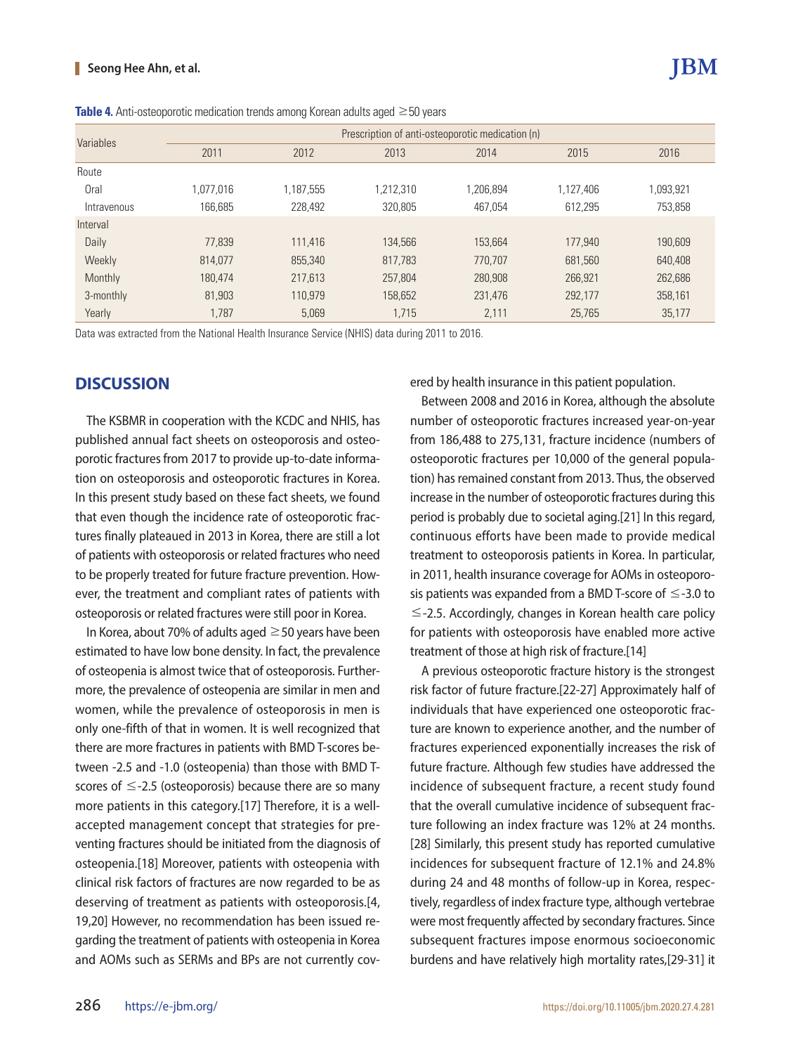#### **Seong Hee Ahn, et al.**

| Variables   | Prescription of anti-osteoporotic medication (n) |           |           |           |           |           |  |  |  |
|-------------|--------------------------------------------------|-----------|-----------|-----------|-----------|-----------|--|--|--|
|             | 2011                                             | 2012      | 2013      | 2014      | 2015      | 2016      |  |  |  |
| Route       |                                                  |           |           |           |           |           |  |  |  |
| Oral        | 1,077,016                                        | 1.187.555 | 1,212,310 | 1,206,894 | 1,127,406 | 1,093,921 |  |  |  |
| Intravenous | 166,685                                          | 228.492   | 320,805   | 467,054   | 612,295   | 753,858   |  |  |  |
| Interval    |                                                  |           |           |           |           |           |  |  |  |
| Daily       | 77.839                                           | 111.416   | 134,566   | 153.664   | 177,940   | 190.609   |  |  |  |
| Weekly      | 814.077                                          | 855,340   | 817,783   | 770.707   | 681.560   | 640,408   |  |  |  |
| Monthly     | 180.474                                          | 217.613   | 257,804   | 280,908   | 266,921   | 262,686   |  |  |  |
| 3-monthly   | 81,903                                           | 110.979   | 158,652   | 231,476   | 292.177   | 358,161   |  |  |  |
| Yearly      | 1.787                                            | 5.069     | 1.715     | 2.111     | 25,765    | 35.177    |  |  |  |

Data was extracted from the National Health Insurance Service (NHIS) data during 2011 to 2016.

## **DISCUSSION**

The KSBMR in cooperation with the KCDC and NHIS, has published annual fact sheets on osteoporosis and osteoporotic fractures from 2017 to provide up-to-date information on osteoporosis and osteoporotic fractures in Korea. In this present study based on these fact sheets, we found that even though the incidence rate of osteoporotic fractures finally plateaued in 2013 in Korea, there are still a lot of patients with osteoporosis or related fractures who need to be properly treated for future fracture prevention. However, the treatment and compliant rates of patients with osteoporosis or related fractures were still poor in Korea.

In Korea, about 70% of adults aged  $\geq$  50 years have been estimated to have low bone density. In fact, the prevalence of osteopenia is almost twice that of osteoporosis. Furthermore, the prevalence of osteopenia are similar in men and women, while the prevalence of osteoporosis in men is only one-fifth of that in women. It is well recognized that there are more fractures in patients with BMD T-scores between -2.5 and -1.0 (osteopenia) than those with BMD Tscores of  $\leq$ -2.5 (osteoporosis) because there are so many more patients in this category.[17] Therefore, it is a wellaccepted management concept that strategies for preventing fractures should be initiated from the diagnosis of osteopenia.[18] Moreover, patients with osteopenia with clinical risk factors of fractures are now regarded to be as deserving of treatment as patients with osteoporosis.[4, 19,20] However, no recommendation has been issued regarding the treatment of patients with osteopenia in Korea and AOMs such as SERMs and BPs are not currently covered by health insurance in this patient population.

Between 2008 and 2016 in Korea, although the absolute number of osteoporotic fractures increased year-on-year from 186,488 to 275,131, fracture incidence (numbers of osteoporotic fractures per 10,000 of the general population) has remained constant from 2013. Thus, the observed increase in the number of osteoporotic fractures during this period is probably due to societal aging.[21] In this regard, continuous efforts have been made to provide medical treatment to osteoporosis patients in Korea. In particular, in 2011, health insurance coverage for AOMs in osteoporosis patients was expanded from a BMD T-score of  $\leq$ -3.0 to ≤-2.5. Accordingly, changes in Korean health care policy for patients with osteoporosis have enabled more active treatment of those at high risk of fracture.[14]

A previous osteoporotic fracture history is the strongest risk factor of future fracture.[22-27] Approximately half of individuals that have experienced one osteoporotic fracture are known to experience another, and the number of fractures experienced exponentially increases the risk of future fracture. Although few studies have addressed the incidence of subsequent fracture, a recent study found that the overall cumulative incidence of subsequent fracture following an index fracture was 12% at 24 months. [28] Similarly, this present study has reported cumulative incidences for subsequent fracture of 12.1% and 24.8% during 24 and 48 months of follow-up in Korea, respectively, regardless of index fracture type, although vertebrae were most frequently affected by secondary fractures. Since subsequent fractures impose enormous socioeconomic burdens and have relatively high mortality rates,[29-31] it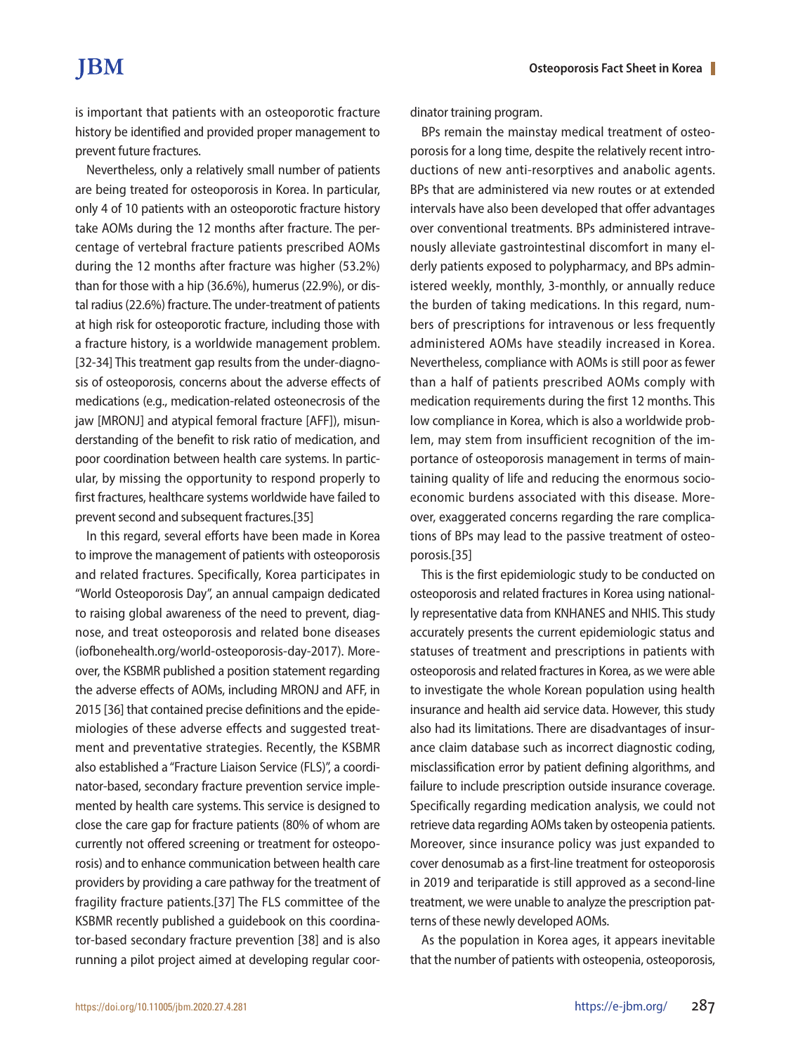is important that patients with an osteoporotic fracture history be identified and provided proper management to prevent future fractures.

Nevertheless, only a relatively small number of patients are being treated for osteoporosis in Korea. In particular, only 4 of 10 patients with an osteoporotic fracture history take AOMs during the 12 months after fracture. The percentage of vertebral fracture patients prescribed AOMs during the 12 months after fracture was higher (53.2%) than for those with a hip (36.6%), humerus (22.9%), or distal radius (22.6%) fracture. The under-treatment of patients at high risk for osteoporotic fracture, including those with a fracture history, is a worldwide management problem. [32-34] This treatment gap results from the under-diagnosis of osteoporosis, concerns about the adverse effects of medications (e.g., medication-related osteonecrosis of the jaw [MRONJ] and atypical femoral fracture [AFF]), misunderstanding of the benefit to risk ratio of medication, and poor coordination between health care systems. In particular, by missing the opportunity to respond properly to first fractures, healthcare systems worldwide have failed to prevent second and subsequent fractures.[35]

In this regard, several efforts have been made in Korea to improve the management of patients with osteoporosis and related fractures. Specifically, Korea participates in "World Osteoporosis Day", an annual campaign dedicated to raising global awareness of the need to prevent, diagnose, and treat osteoporosis and related bone diseases (iofbonehealth.org/world-osteoporosis-day-2017). Moreover, the KSBMR published a position statement regarding the adverse effects of AOMs, including MRONJ and AFF, in 2015 [36] that contained precise definitions and the epidemiologies of these adverse effects and suggested treatment and preventative strategies. Recently, the KSBMR also established a "Fracture Liaison Service (FLS)", a coordinator-based, secondary fracture prevention service implemented by health care systems. This service is designed to close the care gap for fracture patients (80% of whom are currently not offered screening or treatment for osteoporosis) and to enhance communication between health care providers by providing a care pathway for the treatment of fragility fracture patients.[37] The FLS committee of the KSBMR recently published a guidebook on this coordinator-based secondary fracture prevention [38] and is also running a pilot project aimed at developing regular coordinator training program.

BPs remain the mainstay medical treatment of osteoporosis for a long time, despite the relatively recent introductions of new anti-resorptives and anabolic agents. BPs that are administered via new routes or at extended intervals have also been developed that offer advantages over conventional treatments. BPs administered intravenously alleviate gastrointestinal discomfort in many elderly patients exposed to polypharmacy, and BPs administered weekly, monthly, 3-monthly, or annually reduce the burden of taking medications. In this regard, numbers of prescriptions for intravenous or less frequently administered AOMs have steadily increased in Korea. Nevertheless, compliance with AOMs is still poor as fewer than a half of patients prescribed AOMs comply with medication requirements during the first 12 months. This low compliance in Korea, which is also a worldwide problem, may stem from insufficient recognition of the importance of osteoporosis management in terms of maintaining quality of life and reducing the enormous socioeconomic burdens associated with this disease. Moreover, exaggerated concerns regarding the rare complications of BPs may lead to the passive treatment of osteoporosis.[35]

This is the first epidemiologic study to be conducted on osteoporosis and related fractures in Korea using nationally representative data from KNHANES and NHIS. This study accurately presents the current epidemiologic status and statuses of treatment and prescriptions in patients with osteoporosis and related fractures in Korea, as we were able to investigate the whole Korean population using health insurance and health aid service data. However, this study also had its limitations. There are disadvantages of insurance claim database such as incorrect diagnostic coding, misclassification error by patient defining algorithms, and failure to include prescription outside insurance coverage. Specifically regarding medication analysis, we could not retrieve data regarding AOMs taken by osteopenia patients. Moreover, since insurance policy was just expanded to cover denosumab as a first-line treatment for osteoporosis in 2019 and teriparatide is still approved as a second-line treatment, we were unable to analyze the prescription patterns of these newly developed AOMs.

As the population in Korea ages, it appears inevitable that the number of patients with osteopenia, osteoporosis,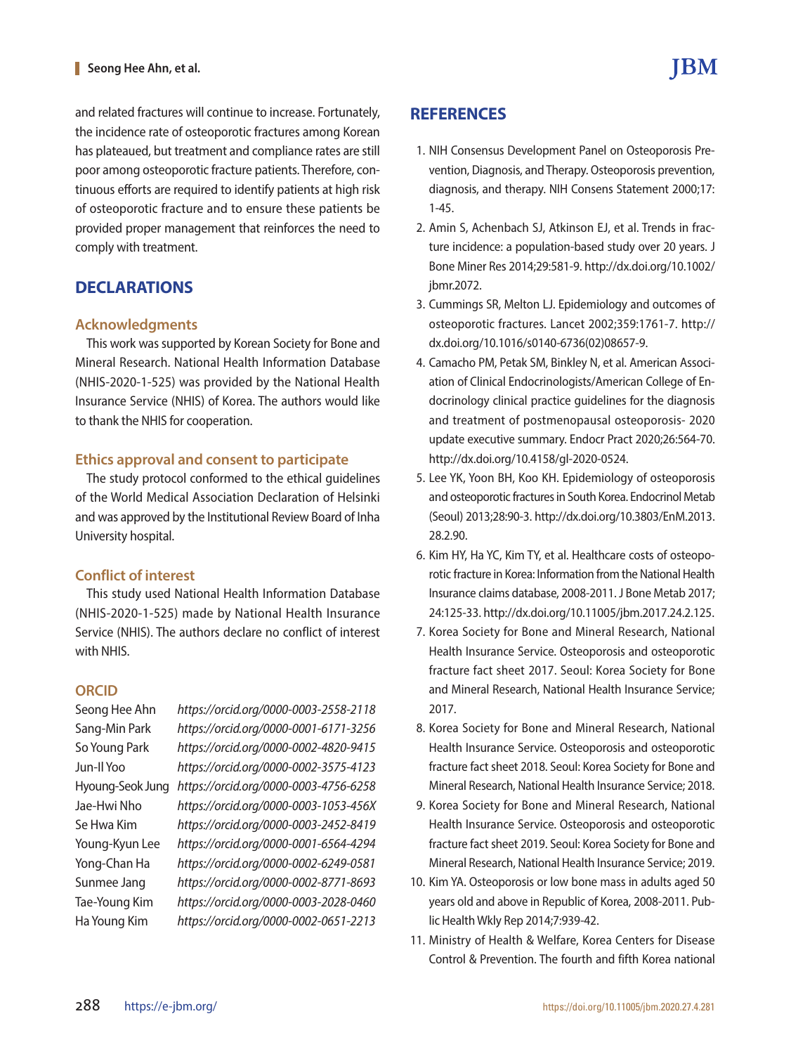and related fractures will continue to increase. Fortunately, the incidence rate of osteoporotic fractures among Korean has plateaued, but treatment and compliance rates are still poor among osteoporotic fracture patients. Therefore, continuous efforts are required to identify patients at high risk of osteoporotic fracture and to ensure these patients be provided proper management that reinforces the need to comply with treatment.

# **DECLARATIONS**

### **Acknowledgments**

This work was supported by Korean Society for Bone and Mineral Research. National Health Information Database (NHIS-2020-1-525) was provided by the National Health Insurance Service (NHIS) of Korea. The authors would like to thank the NHIS for cooperation.

## **Ethics approval and consent to participate**

The study protocol conformed to the ethical guidelines of the World Medical Association Declaration of Helsinki and was approved by the Institutional Review Board of Inha University hospital.

## **Conflict of interest**

This study used National Health Information Database (NHIS-2020-1-525) made by National Health Insurance Service (NHIS). The authors declare no conflict of interest with NHIS.

### **ORCID**

Seong Hee Ahn *https://orcid.org/0000-0003-2558-2118* Sang-Min Park *https://orcid.org/0000-0001-6171-3256* So Young Park *https://orcid.org/0000-0002-4820-9415* Jun-Il Yoo *https://orcid.org/0000-0002-3575-4123* Hyoung-Seok Jung *https://orcid.org/0000-0003-4756-6258* Jae-Hwi Nho *https://orcid.org/0000-0003-1053-456X* Se Hwa Kim *https://orcid.org/0000-0003-2452-8419* Young-Kyun Lee *https://orcid.org/0000-0001-6564-4294* Yong-Chan Ha *https://orcid.org/0000-0002-6249-0581* Sunmee Jang *https://orcid.org/0000-0002-8771-8693* Tae-Young Kim *https://orcid.org/0000-0003-2028-0460* Ha Young Kim *https://orcid.org/0000-0002-0651-2213*

# **REFERENCES**

- 1. NIH Consensus Development Panel on Osteoporosis Prevention, Diagnosis, and Therapy. Osteoporosis prevention, diagnosis, and therapy. NIH Consens Statement 2000;17: 1-45.
- 2. Amin S, Achenbach SJ, Atkinson EJ, et al. Trends in fracture incidence: a population-based study over 20 years. J Bone Miner Res 2014;29:581-9. http://dx.doi.org/10.1002/ jbmr.2072.
- 3. Cummings SR, Melton LJ. Epidemiology and outcomes of osteoporotic fractures. Lancet 2002;359:1761-7. http:// dx.doi.org/10.1016/s0140-6736(02)08657-9.
- 4. Camacho PM, Petak SM, Binkley N, et al. American Association of Clinical Endocrinologists/American College of Endocrinology clinical practice guidelines for the diagnosis and treatment of postmenopausal osteoporosis- 2020 update executive summary. Endocr Pract 2020;26:564-70. http://dx.doi.org/10.4158/gl-2020-0524.
- 5. Lee YK, Yoon BH, Koo KH. Epidemiology of osteoporosis and osteoporotic fractures in South Korea. Endocrinol Metab (Seoul) 2013;28:90-3. http://dx.doi.org/10.3803/EnM.2013. 28.2.90.
- 6. Kim HY, Ha YC, Kim TY, et al. Healthcare costs of osteoporotic fracture in Korea: Information from the National Health Insurance claims database, 2008-2011. J Bone Metab 2017; 24:125-33. http://dx.doi.org/10.11005/jbm.2017.24.2.125.
- 7. Korea Society for Bone and Mineral Research, National Health Insurance Service. Osteoporosis and osteoporotic fracture fact sheet 2017. Seoul: Korea Society for Bone and Mineral Research, National Health Insurance Service; 2017.
- 8. Korea Society for Bone and Mineral Research, National Health Insurance Service. Osteoporosis and osteoporotic fracture fact sheet 2018. Seoul: Korea Society for Bone and Mineral Research, National Health Insurance Service; 2018.
- 9. Korea Society for Bone and Mineral Research, National Health Insurance Service. Osteoporosis and osteoporotic fracture fact sheet 2019. Seoul: Korea Society for Bone and Mineral Research, National Health Insurance Service; 2019.
- 10. Kim YA. Osteoporosis or low bone mass in adults aged 50 years old and above in Republic of Korea, 2008-2011. Public Health Wkly Rep 2014;7:939-42.
- 11. Ministry of Health & Welfare, Korea Centers for Disease Control & Prevention. The fourth and fifth Korea national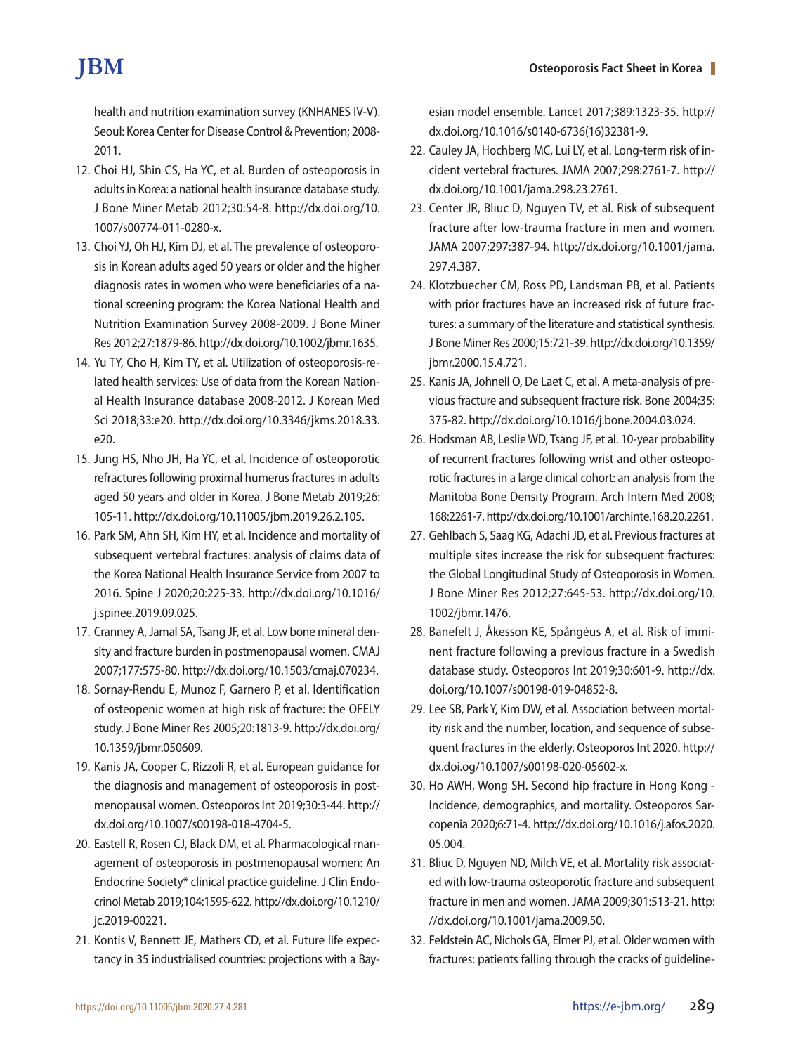# **TBM**

health and nutrition examination survey (KNHANES IV-V). Seoul: Korea Center for Disease Control & Prevention; 2008- 2011.

- 12. Choi HJ, Shin CS, Ha YC, et al. Burden of osteoporosis in adults in Korea: a national health insurance database study. J Bone Miner Metab 2012;30:54-8. http://dx.doi.org/10. 1007/s00774-011-0280-x.
- 13. Choi YJ, Oh HJ, Kim DJ, et al. The prevalence of osteoporosis in Korean adults aged 50 years or older and the higher diagnosis rates in women who were beneficiaries of a national screening program: the Korea National Health and Nutrition Examination Survey 2008-2009. J Bone Miner Res 2012;27:1879-86. http://dx.doi.org/10.1002/jbmr.1635.
- 14. Yu TY, Cho H, Kim TY, et al. Utilization of osteoporosis-related health services: Use of data from the Korean National Health Insurance database 2008-2012. J Korean Med Sci 2018;33:e20. http://dx.doi.org/10.3346/jkms.2018.33. e20.
- 15. Jung HS, Nho JH, Ha YC, et al. Incidence of osteoporotic refractures following proximal humerus fractures in adults aged 50 years and older in Korea. J Bone Metab 2019;26: 105-11. http://dx.doi.org/10.11005/jbm.2019.26.2.105.
- 16. Park SM, Ahn SH, Kim HY, et al. Incidence and mortality of subsequent vertebral fractures: analysis of claims data of the Korea National Health Insurance Service from 2007 to 2016. Spine J 2020;20:225-33. http://dx.doi.org/10.1016/ j.spinee.2019.09.025.
- 17. Cranney A, Jamal SA, Tsang JF, et al. Low bone mineral density and fracture burden in postmenopausal women. CMAJ 2007;177:575-80. http://dx.doi.org/10.1503/cmaj.070234.
- 18. Sornay-Rendu E, Munoz F, Garnero P, et al. Identification of osteopenic women at high risk of fracture: the OFELY study. J Bone Miner Res 2005;20:1813-9. http://dx.doi.org/ 10.1359/jbmr.050609.
- 19. Kanis JA, Cooper C, Rizzoli R, et al. European guidance for the diagnosis and management of osteoporosis in postmenopausal women. Osteoporos Int 2019;30:3-44. http:// dx.doi.org/10.1007/s00198-018-4704-5.
- 20. Eastell R, Rosen CJ, Black DM, et al. Pharmacological management of osteoporosis in postmenopausal women: An Endocrine Society\* clinical practice guideline. J Clin Endocrinol Metab 2019;104:1595-622. http://dx.doi.org/10.1210/ jc.2019-00221.
- 21. Kontis V, Bennett JE, Mathers CD, et al. Future life expectancy in 35 industrialised countries: projections with a Bay-

esian model ensemble. Lancet 2017;389:1323-35. http:// dx.doi.org/10.1016/s0140-6736(16)32381-9.

- 22. Cauley JA, Hochberg MC, Lui LY, et al. Long-term risk of incident vertebral fractures. JAMA 2007;298:2761-7. http:// dx.doi.org/10.1001/jama.298.23.2761.
- 23. Center JR, Bliuc D, Nguyen TV, et al. Risk of subsequent fracture after low-trauma fracture in men and women. JAMA 2007;297:387-94. http://dx.doi.org/10.1001/jama. 297.4.387.
- 24. Klotzbuecher CM, Ross PD, Landsman PB, et al. Patients with prior fractures have an increased risk of future fractures: a summary of the literature and statistical synthesis. J Bone Miner Res 2000;15:721-39. http://dx.doi.org/10.1359/ jbmr.2000.15.4.721.
- 25. Kanis JA, Johnell O, De Laet C, et al. A meta-analysis of previous fracture and subsequent fracture risk. Bone 2004;35: 375-82. http://dx.doi.org/10.1016/j.bone.2004.03.024.
- 26. Hodsman AB, Leslie WD, Tsang JF, et al. 10-year probability of recurrent fractures following wrist and other osteoporotic fractures in a large clinical cohort: an analysis from the Manitoba Bone Density Program. Arch Intern Med 2008; 168:2261-7. http://dx.doi.org/10.1001/archinte.168.20.2261.
- 27. Gehlbach S, Saag KG, Adachi JD, et al. Previous fractures at multiple sites increase the risk for subsequent fractures: the Global Longitudinal Study of Osteoporosis in Women. J Bone Miner Res 2012;27:645-53. http://dx.doi.org/10. 1002/jbmr.1476.
- 28. Banefelt J, Åkesson KE, Spångéus A, et al. Risk of imminent fracture following a previous fracture in a Swedish database study. Osteoporos Int 2019;30:601-9. http://dx. doi.org/10.1007/s00198-019-04852-8.
- 29. Lee SB, Park Y, Kim DW, et al. Association between mortality risk and the number, location, and sequence of subsequent fractures in the elderly. Osteoporos Int 2020. http:// dx.doi.og/10.1007/s00198-020-05602-x.
- 30. Ho AWH, Wong SH. Second hip fracture in Hong Kong Incidence, demographics, and mortality. Osteoporos Sarcopenia 2020;6:71-4. http://dx.doi.org/10.1016/j.afos.2020. 05.004.
- 31. Bliuc D, Nguyen ND, Milch VE, et al. Mortality risk associated with low-trauma osteoporotic fracture and subsequent fracture in men and women. JAMA 2009;301:513-21. http: //dx.doi.org/10.1001/jama.2009.50.
- 32. Feldstein AC, Nichols GA, Elmer PJ, et al. Older women with fractures: patients falling through the cracks of guideline-